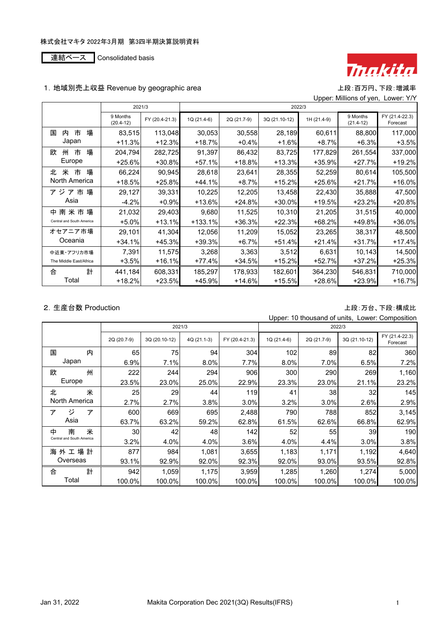連結ベース Consolidated basis



## 1. 地域別売上収益 Revenue by geographic area http://www.facebook.com/www.facebook.com/ww

Upper: Millions of yen, Lower: Y/Y

|                           | 2021/3                  |                | 2022/3      |             |               |             |                         |                            |
|---------------------------|-------------------------|----------------|-------------|-------------|---------------|-------------|-------------------------|----------------------------|
|                           | 9 Months<br>$(20.4-12)$ | FY (20.4-21.3) | 1Q (21.4-6) | 2Q (21.7-9) | 3Q (21.10-12) | 1H (21.4-9) | 9 Months<br>$(21.4-12)$ | FY (21.4-22.3)<br>Forecast |
| 場<br>市<br>国<br>内          | 83,515                  | 113,048        | 30,053      | 30,558      | 28,189        | 60,611      | 88,800                  | 117,000                    |
| Japan                     | $+11.3%$                | $+12.3%$       | +18.7%      | $+0.4%$     | $+1.6%$       | $+8.7%$     | $+6.3%$                 | $+3.5%$                    |
| 場<br>欧<br>市<br>州          | 204,794                 | 282,725        | 91,397      | 86,432      | 83,725        | 177,829     | 261,554                 | 337,000                    |
| Europe                    | +25.6%                  | +30.8%         | $+57.1%$    | +18.8%      | $+13.3%$      | $+35.9%$    | $+27.7%$                | $+19.2%$                   |
| 場<br>米<br>市<br>北          | 66,224                  | 90,945         | 28,618      | 23,641      | 28,355        | 52,259      | 80,614                  | 105,500                    |
| North America             | +18.5%                  | +25.8%         | +44.1%      | $+8.7%$     | $+15.2%$      | $+25.6%$    | $+21.7%$                | $+16.0%$                   |
| アジア市<br>場                 | 29,127                  | 39,331         | 10,225      | 12,205      | 13,458        | 22,430      | 35,888                  | 47,500                     |
| Asia                      | $-4.2\%$                | $+0.9%$        | +13.6%      | $+24.8%$    | $+30.0%$      | +19.5%      | $+23.2%$                | $+20.8%$                   |
| 中 南 米 市 場                 | 21,032                  | 29,403         | 9,680       | 11,525      | 10,310        | 21,205      | 31,515                  | 40,000                     |
| Central and South America | $+5.0%$                 | +13.1%         | +133.1%     | +36.3%      | $+22.3%$      | $+68.2%$    | +49.8%                  | +36.0%                     |
| オセアニア市場                   | 29,101                  | 41,304         | 12,056      | 11,209      | 15,052        | 23,265      | 38,317                  | 48,500                     |
| Oceania                   | $+34.1%$                | +45.3%         | +39.3%      | $+6.7%$     | $+51.4%$      | $+21.4%$    | $+31.7%$                | $+17.4%$                   |
| 中近東・アフリカ市場                | 7,391                   | 11,575         | 3,268       | 3,363       | 3,512         | 6,631       | 10,143                  | 14,500                     |
| The Middle East/Africa    | $+3.5%$                 | +16.1%         | +77.4%      | $+34.5%$    | $+15.2%$      | +52.7%      | $+37.2%$                | $+25.3%$                   |
| 計<br>合                    | 441,184                 | 608,331        | 185,297     | 178,933     | 182,601       | 364,230     | 546,831                 | 710,000                    |
| Total                     | $+18.2%$                | +23.5%         | +45.9%      | $+14.6%$    | $+15.5%$      | $+28.6%$    | $+23.9%$                | $+16.7%$                   |

## 2.生産台数 Production 上段:万台、下段:構成比

| Upper: 10 thousand of units, Lower: Composition |  |
|-------------------------------------------------|--|
|                                                 |  |

|                           | 2021/3      |               |             |                | 2022/3      |             |               |                            |
|---------------------------|-------------|---------------|-------------|----------------|-------------|-------------|---------------|----------------------------|
|                           | 2Q (20.7-9) | 3Q (20.10-12) | 4Q (21.1-3) | FY (20.4-21.3) | 1Q (21.4-6) | 2Q (21.7-9) | 3Q (21.10-12) | FY (21.4-22.3)<br>Forecast |
| 内<br>国                    | 65          | 75            | 94          | 304            | 102         | 89          | 82            | 360                        |
| Japan                     | 6.9%        | 7.1%          | 8.0%        | 7.7%           | 8.0%        | $7.0\%$     | 6.5%          | 7.2%                       |
| 欧<br>州                    | 222         | 244           | 294         | 906            | 300         | 290         | 269           | 1,160                      |
| Europe                    | 23.5%       | 23.0%         | 25.0%       | 22.9%          | 23.3%       | 23.0%       | 21.1%         | 23.2%                      |
| 米<br>北                    | 25          | 29            | 44          | 119            | 41          | 38          | 32            | 145                        |
| North America             | 2.7%        | 2.7%          | 3.8%        | 3.0%           | 3.2%        | 3.0%        | 2.6%          | 2.9%                       |
| ジ<br>ァ<br>ァ               | 600         | 669           | 695         | 2,488          | 790         | 788         | 852           | 3,145                      |
| Asia                      | 63.7%       | 63.2%         | 59.2%       | 62.8%          | 61.5%       | 62.6%       | 66.8%         | 62.9%                      |
| 南<br>米<br>中               | 30          | 42            | 48          | 142            | 52          | 55          | 39            | 190                        |
| Central and South America | 3.2%        | 4.0%          | 4.0%        | 3.6%           | 4.0%        | 4.4%        | 3.0%          | 3.8%                       |
| 海外工場計                     | 877         | 984           | 1,081       | 3,655          | 1,183       | 1,171       | 1,192         | 4,640                      |
| Overseas                  | 93.1%       | 92.9%         | 92.0%       | 92.3%          | 92.0%       | 93.0%       | 93.5%         | 92.8%                      |
| 計<br>合                    | 942         | 1,059         | 1,175       | 3,959          | 1,285       | 1,260       | 1,274         | 5,000                      |
| Total                     | 100.0%      | 100.0%        | 100.0%      | 100.0%         | 100.0%      | 100.0%      | 100.0%        | 100.0%                     |